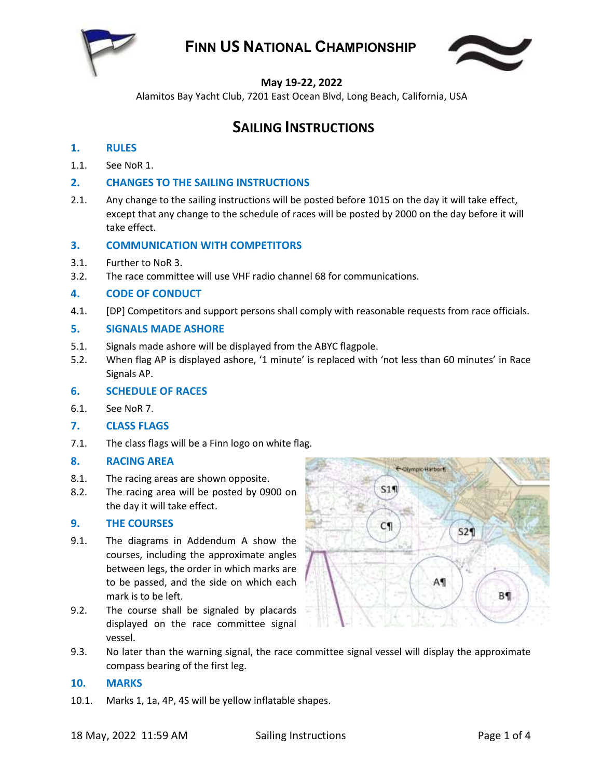

# **FINN US NATIONAL CHAMPIONSHIP**



## **May 19-22, 2022**

Alamitos Bay Yacht Club, 7201 East Ocean Blvd, Long Beach, California, USA

## **SAILING INSTRUCTIONS**

## **1. RULES**

- 1.1. See NoR 1.
- **2. CHANGES TO THE SAILING INSTRUCTIONS**
- 2.1. Any change to the sailing instructions will be posted before 1015 on the day it will take effect, except that any change to the schedule of races will be posted by 2000 on the day before it will take effect.

## **3. COMMUNICATION WITH COMPETITORS**

- 3.1. Further to NoR 3.
- 3.2. The race committee will use VHF radio channel 68 for communications.

### **4. CODE OF CONDUCT**

4.1. [DP] Competitors and support persons shall comply with reasonable requests from race officials.

### **5. SIGNALS MADE ASHORE**

- 5.1. Signals made ashore will be displayed from the ABYC flagpole.
- 5.2. When flag AP is displayed ashore, '1 minute' is replaced with 'not less than 60 minutes' in Race Signals AP.

#### **6. SCHEDULE OF RACES**

- 6.1. See NoR 7.
- **7. CLASS FLAGS**
- 7.1. The class flags will be a Finn logo on white flag.

#### **8. RACING AREA**

- 8.1. The racing areas are shown opposite.
- 8.2. The racing area will be posted by 0900 on the day it will take effect.

#### **9. THE COURSES**

- 9.1. The diagrams in Addendum A show the courses, including the approximate angles between legs, the order in which marks are to be passed, and the side on which each mark is to be left.
- 9.2. The course shall be signaled by placards displayed on the race committee signal vessel.



9.3. No later than the warning signal, the race committee signal vessel will display the approximate compass bearing of the first leg.

#### **10. MARKS**

10.1. Marks 1, 1a, 4P, 4S will be yellow inflatable shapes.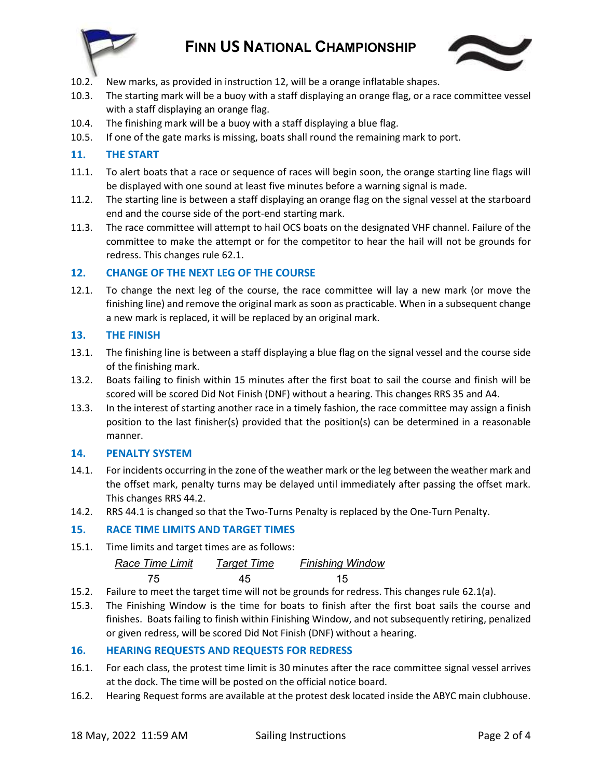

# **FINN US NATIONAL CHAMPIONSHIP**



- 10.2. New marks, as provided in instructio[n 12,](#page-1-0) will be a orange inflatable shapes.
- 10.3. The starting mark will be a buoy with a staff displaying an orange flag, or a race committee vessel with a staff displaying an orange flag.
- 10.4. The finishing mark will be a buoy with a staff displaying a blue flag.
- 10.5. If one of the gate marks is missing, boats shall round the remaining mark to port.

## **11. THE START**

- 11.1. To alert boats that a race or sequence of races will begin soon, the orange starting line flags will be displayed with one sound at least five minutes before a warning signal is made.
- 11.2. The starting line is between a staff displaying an orange flag on the signal vessel at the starboard end and the course side of the port-end starting mark.
- 11.3. The race committee will attempt to hail OCS boats on the designated VHF channel. Failure of the committee to make the attempt or for the competitor to hear the hail will not be grounds for redress. This changes rule 62.1.

### <span id="page-1-0"></span>**12. CHANGE OF THE NEXT LEG OF THE COURSE**

12.1. To change the next leg of the course, the race committee will lay a new mark (or move the finishing line) and remove the original mark as soon as practicable. When in a subsequent change a new mark is replaced, it will be replaced by an original mark.

#### **13. THE FINISH**

- 13.1. The finishing line is between a staff displaying a blue flag on the signal vessel and the course side of the finishing mark.
- 13.2. Boats failing to finish within 15 minutes after the first boat to sail the course and finish will be scored will be scored Did Not Finish (DNF) without a hearing. This changes RRS 35 and A4.
- 13.3. In the interest of starting another race in a timely fashion, the race committee may assign a finish position to the last finisher(s) provided that the position(s) can be determined in a reasonable manner.

#### **14. PENALTY SYSTEM**

- 14.1. For incidents occurring in the zone of the weather mark or the leg between the weather mark and the offset mark, penalty turns may be delayed until immediately after passing the offset mark. This changes RRS 44.2.
- 14.2. RRS 44.1 is changed so that the Two-Turns Penalty is replaced by the One-Turn Penalty.

## **15. RACE TIME LIMITS AND TARGET TIMES**

15.1. Time limits and target times are as follows:

*Race Time Limit Target Time Finishing Window* 75 45 15

- 15.2. Failure to meet the target time will not be grounds for redress. This changes rule 62.1(a).
- 15.3. The Finishing Window is the time for boats to finish after the first boat sails the course and finishes. Boats failing to finish within Finishing Window, and not subsequently retiring, penalized or given redress, will be scored Did Not Finish (DNF) without a hearing.

## **16. HEARING REQUESTS AND REQUESTS FOR REDRESS**

- 16.1. For each class, the protest time limit is 30 minutes after the race committee signal vessel arrives at the dock. The time will be posted on the official notice board.
- 16.2. Hearing Request forms are available at the protest desk located inside the ABYC main clubhouse.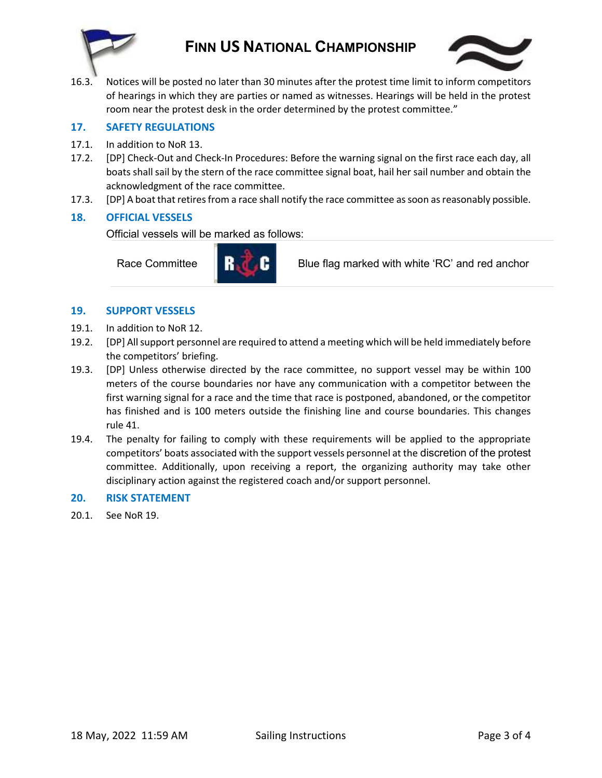

## **FINN US NATIONAL CHAMPIONSHIP**



16.3. Notices will be posted no later than 30 minutes after the protest time limit to inform competitors of hearings in which they are parties or named as witnesses. Hearings will be held in the protest room near the protest desk in the order determined by the protest committee."

#### **17. SAFETY REGULATIONS**

- 17.1. In addition to NoR 13.
- 17.2. [DP] Check-Out and Check-In Procedures: Before the warning signal on the first race each day, all boats shall sail by the stern of the race committee signal boat, hail her sail number and obtain the acknowledgment of the race committee.
- 17.3. [DP] A boat that retires from a race shall notify the race committee as soon as reasonably possible.

### **18. OFFICIAL VESSELS**

Official vessels will be marked as follows:



Race Committee **Blue flag marked with white 'RC' and red anchor** 

#### **19. SUPPORT VESSELS**

- 19.1. In addition to NoR 12.
- 19.2. [DP] All support personnel are required to attend a meeting which will be held immediately before the competitors' briefing.
- 19.3. [DP] Unless otherwise directed by the race committee, no support vessel may be within 100 meters of the course boundaries nor have any communication with a competitor between the first warning signal for a race and the time that race is postponed, abandoned, or the competitor has finished and is 100 meters outside the finishing line and course boundaries. This changes rule 41.
- 19.4. The penalty for failing to comply with these requirements will be applied to the appropriate competitors' boats associated with the support vessels personnel at the discretion of the protest committee. Additionally, upon receiving a report, the organizing authority may take other disciplinary action against the registered coach and/or support personnel.

#### **20. RISK STATEMENT**

20.1. See NoR 19.